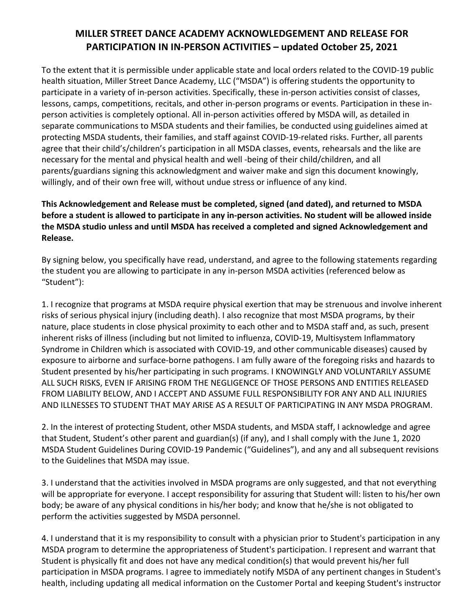## **MILLER STREET DANCE ACADEMY ACKNOWLEDGEMENT AND RELEASE FOR PARTICIPATION IN IN-PERSON ACTIVITIES – updated October 25, 2021**

To the extent that it is permissible under applicable state and local orders related to the COVID-19 public health situation, Miller Street Dance Academy, LLC ("MSDA") is offering students the opportunity to participate in a variety of in-person activities. Specifically, these in-person activities consist of classes, lessons, camps, competitions, recitals, and other in-person programs or events. Participation in these inperson activities is completely optional. All in-person activities offered by MSDA will, as detailed in separate communications to MSDA students and their families, be conducted using guidelines aimed at protecting MSDA students, their families, and staff against COVID-19-related risks. Further, all parents agree that their child's/children's participation in all MSDA classes, events, rehearsals and the like are necessary for the mental and physical health and well -being of their child/children, and all parents/guardians signing this acknowledgment and waiver make and sign this document knowingly, willingly, and of their own free will, without undue stress or influence of any kind.

## **This Acknowledgement and Release must be completed, signed (and dated), and returned to MSDA before a student is allowed to participate in any in-person activities. No student will be allowed inside the MSDA studio unless and until MSDA has received a completed and signed Acknowledgement and Release.**

By signing below, you specifically have read, understand, and agree to the following statements regarding the student you are allowing to participate in any in-person MSDA activities (referenced below as "Student"):

1. I recognize that programs at MSDA require physical exertion that may be strenuous and involve inherent risks of serious physical injury (including death). I also recognize that most MSDA programs, by their nature, place students in close physical proximity to each other and to MSDA staff and, as such, present inherent risks of illness (including but not limited to influenza, COVID-19, Multisystem Inflammatory Syndrome in Children which is associated with COVID-19, and other communicable diseases) caused by exposure to airborne and surface-borne pathogens. I am fully aware of the foregoing risks and hazards to Student presented by his/her participating in such programs. I KNOWINGLY AND VOLUNTARILY ASSUME ALL SUCH RISKS, EVEN IF ARISING FROM THE NEGLIGENCE OF THOSE PERSONS AND ENTITIES RELEASED FROM LIABILITY BELOW, AND I ACCEPT AND ASSUME FULL RESPONSIBILITY FOR ANY AND ALL INJURIES AND ILLNESSES TO STUDENT THAT MAY ARISE AS A RESULT OF PARTICIPATING IN ANY MSDA PROGRAM.

2. In the interest of protecting Student, other MSDA students, and MSDA staff, I acknowledge and agree that Student, Student's other parent and guardian(s) (if any), and I shall comply with the June 1, 2020 MSDA Student Guidelines During COVID-19 Pandemic ("Guidelines"), and any and all subsequent revisions to the Guidelines that MSDA may issue.

3. I understand that the activities involved in MSDA programs are only suggested, and that not everything will be appropriate for everyone. I accept responsibility for assuring that Student will: listen to his/her own body; be aware of any physical conditions in his/her body; and know that he/she is not obligated to perform the activities suggested by MSDA personnel.

4. I understand that it is my responsibility to consult with a physician prior to Student's participation in any MSDA program to determine the appropriateness of Student's participation. I represent and warrant that Student is physically fit and does not have any medical condition(s) that would prevent his/her full participation in MSDA programs. I agree to immediately notify MSDA of any pertinent changes in Student's health, including updating all medical information on the Customer Portal and keeping Student's instructor